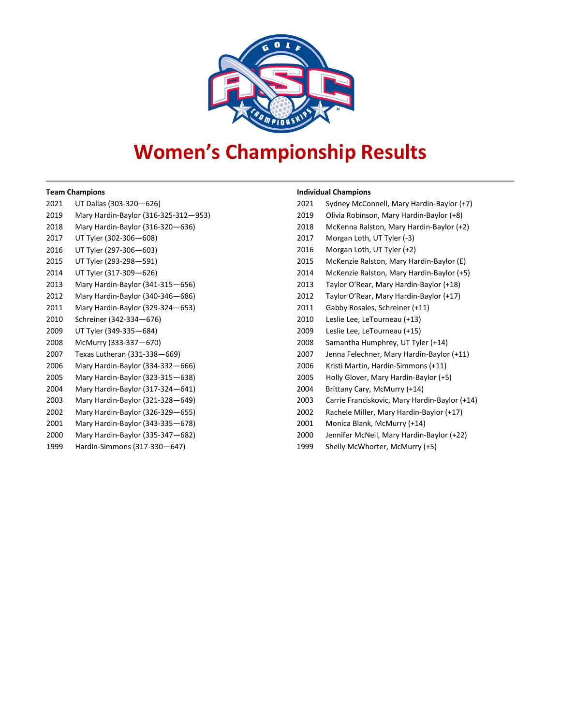

# **Women's Championship Results**

#### **Team Champions**

| 2021 | UT Dallas (303-320-626)              |
|------|--------------------------------------|
| 2019 | Mary Hardin-Baylor (316-325-312-953) |
| 2018 | Mary Hardin-Baylor (316-320-636)     |
| 2017 | UT Tyler (302-306-608)               |
| 2016 | UT Tyler (297-306-603)               |
| 2015 | UT Tyler (293-298-591)               |
| 2014 | UT Tyler (317-309-626)               |
| 2013 | Mary Hardin-Baylor (341-315-656)     |
| 2012 | Mary Hardin-Baylor (340-346-686)     |
| 2011 | Mary Hardin-Baylor (329-324–653)     |
| 2010 | Schreiner (342-334-676)              |
| 2009 | UT Tyler (349-335-684)               |
| 2008 | McMurry (333-337-670)                |
| 2007 | Texas Lutheran (331-338-669)         |
| 2006 | Mary Hardin-Baylor (334-332-666)     |
| 2005 | Mary Hardin-Baylor (323-315–638)     |
| 2004 | Mary Hardin-Baylor (317-324–641)     |
| 2003 | Mary Hardin-Baylor (321-328–649)     |
| 2002 | Mary Hardin-Baylor (326-329-655)     |
| 2001 | Mary Hardin-Baylor (343-335–678)     |

#### Mary Hardin-Baylor (335-347—682)

Hardin-Simmons (317-330—647)

#### **Individual Champions**

| 2021 | Sydney McConnell, Mary Hardin-Baylor (+7)     |
|------|-----------------------------------------------|
| 2019 | Olivia Robinson, Mary Hardin-Baylor (+8)      |
| 2018 | McKenna Ralston, Mary Hardin-Baylor (+2)      |
| 2017 | Morgan Loth, UT Tyler (-3)                    |
| 2016 | Morgan Loth, UT Tyler (+2)                    |
| 2015 | McKenzie Ralston, Mary Hardin-Baylor (E)      |
| 2014 | McKenzie Ralston, Mary Hardin-Baylor (+5)     |
| 2013 | Taylor O'Rear, Mary Hardin-Baylor (+18)       |
| 2012 | Taylor O'Rear, Mary Hardin-Baylor (+17)       |
| 2011 | Gabby Rosales, Schreiner (+11)                |
| 2010 | Leslie Lee, LeTourneau (+13)                  |
| 2009 | Leslie Lee, LeTourneau (+15)                  |
| 2008 | Samantha Humphrey, UT Tyler (+14)             |
| 2007 | Jenna Felechner, Mary Hardin-Baylor (+11)     |
| 2006 | Kristi Martin, Hardin-Simmons (+11)           |
| 2005 | Holly Glover, Mary Hardin-Baylor (+5)         |
| 2004 | Brittany Cary, McMurry (+14)                  |
| 2003 | Carrie Franciskovic, Mary Hardin-Baylor (+14) |
| 2002 | Rachele Miller, Mary Hardin-Baylor (+17)      |
| 2001 | Monica Blank, McMurry (+14)                   |
| 2000 | Jennifer McNeil, Mary Hardin-Baylor (+22)     |
| 1999 | Shelly McWhorter, McMurry (+5)                |